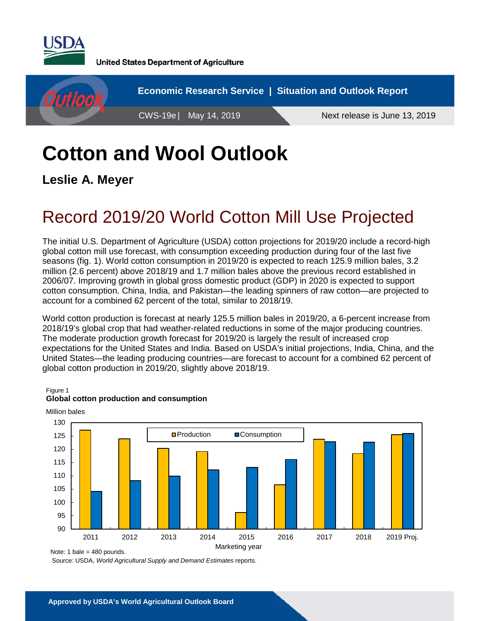

**United States Department of Agriculture** 



# **Cotton and Wool Outlook**

**Leslie A. Meyer**

## Record 2019/20 World Cotton Mill Use Projected

The initial U.S. Department of Agriculture (USDA) cotton projections for 2019/20 include a record-high global cotton mill use forecast, with consumption exceeding production during four of the last five seasons (fig. 1). World cotton consumption in 2019/20 is expected to reach 125.9 million bales, 3.2 million (2.6 percent) above 2018/19 and 1.7 million bales above the previous record established in 2006/07. Improving growth in global gross domestic product (GDP) in 2020 is expected to support cotton consumption. China, India, and Pakistan—the leading spinners of raw cotton—are projected to account for a combined 62 percent of the total, similar to 2018/19.

World cotton production is forecast at nearly 125.5 million bales in 2019/20, a 6-percent increase from 2018/19's global crop that had weather-related reductions in some of the major producing countries. The moderate production growth forecast for 2019/20 is largely the result of increased crop expectations for the United States and India. Based on USDA's initial projections, India, China, and the United States—the leading producing countries—are forecast to account for a combined 62 percent of global cotton production in 2019/20, slightly above 2018/19.

#### 90 95 100 105 110 115 120 125 130 2011 2012 2013 2014 2015 2016 2017 2018 2019 Proj. **O**Production **Consumption** Million bales Marketing year

#### Figure 1 **Global cotton production and consumption**

Note: 1 bale = 480 pounds.

Source: USDA, *World Agricultural Supply and Demand Estimates* reports.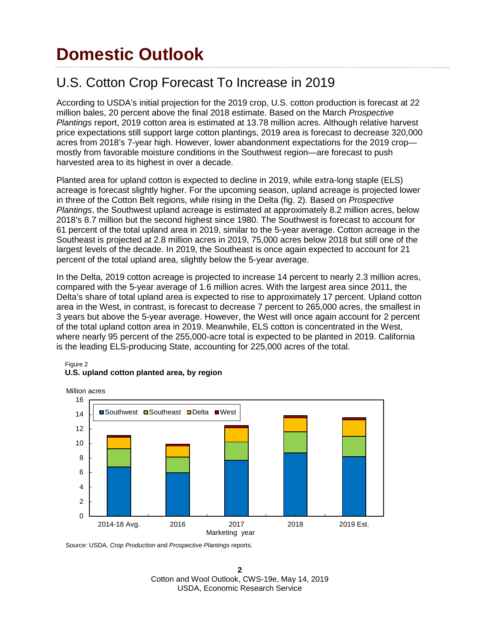## **Domestic Outlook**

### U.S. Cotton Crop Forecast To Increase in 2019

According to USDA's initial projection for the 2019 crop, U.S. cotton production is forecast at 22 million bales, 20 percent above the final 2018 estimate. Based on the March *Prospective Plantings* report, 2019 cotton area is estimated at 13.78 million acres. Although relative harvest price expectations still support large cotton plantings, 2019 area is forecast to decrease 320,000 acres from 2018's 7-year high. However, lower abandonment expectations for the 2019 crop mostly from favorable moisture conditions in the Southwest region—are forecast to push harvested area to its highest in over a decade.

Planted area for upland cotton is expected to decline in 2019, while extra-long staple (ELS) acreage is forecast slightly higher. For the upcoming season, upland acreage is projected lower in three of the Cotton Belt regions, while rising in the Delta (fig. 2). Based on *Prospective Plantings*, the Southwest upland acreage is estimated at approximately 8.2 million acres, below 2018's 8.7 million but the second highest since 1980. The Southwest is forecast to account for 61 percent of the total upland area in 2019, similar to the 5-year average. Cotton acreage in the Southeast is projected at 2.8 million acres in 2019, 75,000 acres below 2018 but still one of the largest levels of the decade. In 2019, the Southeast is once again expected to account for 21 percent of the total upland area, slightly below the 5-year average.

In the Delta, 2019 cotton acreage is projected to increase 14 percent to nearly 2.3 million acres, compared with the 5-year average of 1.6 million acres. With the largest area since 2011, the Delta's share of total upland area is expected to rise to approximately 17 percent. Upland cotton area in the West, in contrast, is forecast to decrease 7 percent to 265,000 acres, the smallest in 3 years but above the 5-year average. However, the West will once again account for 2 percent of the total upland cotton area in 2019. Meanwhile, ELS cotton is concentrated in the West, where nearly 95 percent of the 255,000-acre total is expected to be planted in 2019. California is the leading ELS-producing State, accounting for 225,000 acres of the total.





Source: USDA, *Crop Production* and *Prospective Plantings* reports.

**2** Cotton and Wool Outlook, CWS-19e, May 14, 2019 USDA, Economic Research Service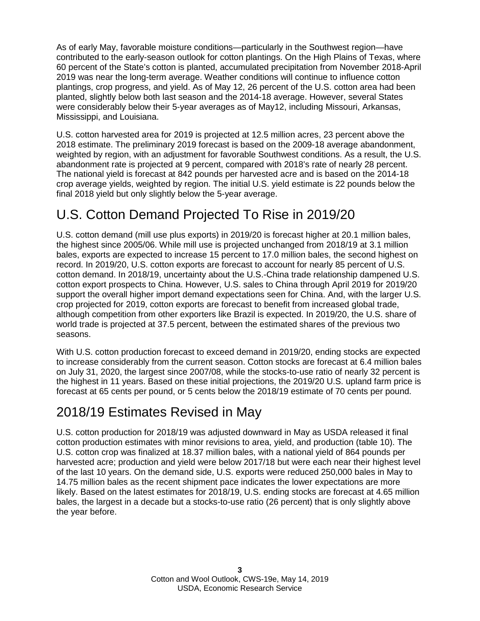As of early May, favorable moisture conditions—particularly in the Southwest region—have contributed to the early-season outlook for cotton plantings. On the High Plains of Texas, where 60 percent of the State's cotton is planted, accumulated precipitation from November 2018-April 2019 was near the long-term average. Weather conditions will continue to influence cotton plantings, crop progress, and yield. As of May 12, 26 percent of the U.S. cotton area had been planted, slightly below both last season and the 2014-18 average. However, several States were considerably below their 5-year averages as of May12, including Missouri, Arkansas, Mississippi, and Louisiana.

U.S. cotton harvested area for 2019 is projected at 12.5 million acres, 23 percent above the 2018 estimate. The preliminary 2019 forecast is based on the 2009-18 average abandonment, weighted by region, with an adjustment for favorable Southwest conditions. As a result, the U.S. abandonment rate is projected at 9 percent, compared with 2018's rate of nearly 28 percent. The national yield is forecast at 842 pounds per harvested acre and is based on the 2014-18 crop average yields, weighted by region. The initial U.S. yield estimate is 22 pounds below the final 2018 yield but only slightly below the 5-year average.

### U.S. Cotton Demand Projected To Rise in 2019/20

U.S. cotton demand (mill use plus exports) in 2019/20 is forecast higher at 20.1 million bales, the highest since 2005/06. While mill use is projected unchanged from 2018/19 at 3.1 million bales, exports are expected to increase 15 percent to 17.0 million bales, the second highest on record. In 2019/20, U.S. cotton exports are forecast to account for nearly 85 percent of U.S. cotton demand. In 2018/19, uncertainty about the U.S.-China trade relationship dampened U.S. cotton export prospects to China. However, U.S. sales to China through April 2019 for 2019/20 support the overall higher import demand expectations seen for China. And, with the larger U.S. crop projected for 2019, cotton exports are forecast to benefit from increased global trade, although competition from other exporters like Brazil is expected. In 2019/20, the U.S. share of world trade is projected at 37.5 percent, between the estimated shares of the previous two seasons.

With U.S. cotton production forecast to exceed demand in 2019/20, ending stocks are expected to increase considerably from the current season. Cotton stocks are forecast at 6.4 million bales on July 31, 2020, the largest since 2007/08, while the stocks-to-use ratio of nearly 32 percent is the highest in 11 years. Based on these initial projections, the 2019/20 U.S. upland farm price is forecast at 65 cents per pound, or 5 cents below the 2018/19 estimate of 70 cents per pound.

#### 2018/19 Estimates Revised in May

U.S. cotton production for 2018/19 was adjusted downward in May as USDA released it final cotton production estimates with minor revisions to area, yield, and production (table 10). The U.S. cotton crop was finalized at 18.37 million bales, with a national yield of 864 pounds per harvested acre; production and yield were below 2017/18 but were each near their highest level of the last 10 years. On the demand side, U.S. exports were reduced 250,000 bales in May to 14.75 million bales as the recent shipment pace indicates the lower expectations are more likely. Based on the latest estimates for 2018/19, U.S. ending stocks are forecast at 4.65 million bales, the largest in a decade but a stocks-to-use ratio (26 percent) that is only slightly above the year before.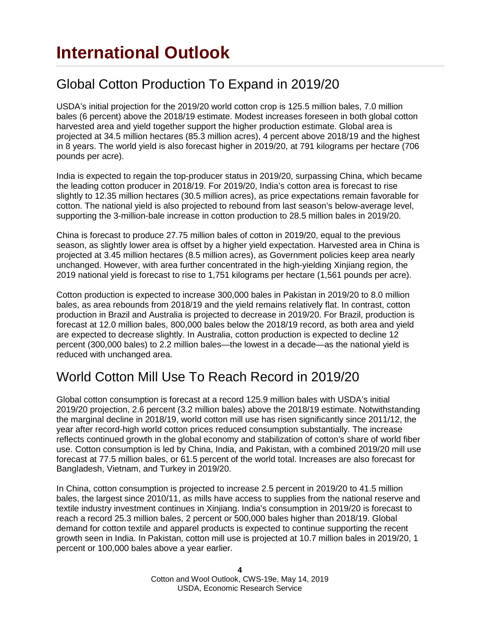## Global Cotton Production To Expand in 2019/20

USDA's initial projection for the 2019/20 world cotton crop is 125.5 million bales, 7.0 million bales (6 percent) above the 2018/19 estimate. Modest increases foreseen in both global cotton harvested area and yield together support the higher production estimate. Global area is projected at 34.5 million hectares (85.3 million acres), 4 percent above 2018/19 and the highest in 8 years. The world yield is also forecast higher in 2019/20, at 791 kilograms per hectare (706 pounds per acre).

India is expected to regain the top-producer status in 2019/20, surpassing China, which became the leading cotton producer in 2018/19. For 2019/20, India's cotton area is forecast to rise slightly to 12.35 million hectares (30.5 million acres), as price expectations remain favorable for cotton. The national yield is also projected to rebound from last season's below-average level, supporting the 3-million-bale increase in cotton production to 28.5 million bales in 2019/20.

China is forecast to produce 27.75 million bales of cotton in 2019/20, equal to the previous season, as slightly lower area is offset by a higher yield expectation. Harvested area in China is projected at 3.45 million hectares (8.5 million acres), as Government policies keep area nearly unchanged. However, with area further concentrated in the high-yielding Xinjiang region, the 2019 national yield is forecast to rise to 1,751 kilograms per hectare (1,561 pounds per acre).

Cotton production is expected to increase 300,000 bales in Pakistan in 2019/20 to 8.0 million bales, as area rebounds from 2018/19 and the yield remains relatively flat. In contrast, cotton production in Brazil and Australia is projected to decrease in 2019/20. For Brazil, production is forecast at 12.0 million bales, 800,000 bales below the 2018/19 record, as both area and yield are expected to decrease slightly. In Australia, cotton production is expected to decline 12 percent (300,000 bales) to 2.2 million bales—the lowest in a decade—as the national yield is reduced with unchanged area.

#### World Cotton Mill Use To Reach Record in 2019/20

Global cotton consumption is forecast at a record 125.9 million bales with USDA's initial 2019/20 projection, 2.6 percent (3.2 million bales) above the 2018/19 estimate. Notwithstanding the marginal decline in 2018/19, world cotton mill use has risen significantly since 2011/12, the year after record-high world cotton prices reduced consumption substantially. The increase reflects continued growth in the global economy and stabilization of cotton's share of world fiber use. Cotton consumption is led by China, India, and Pakistan, with a combined 2019/20 mill use forecast at 77.5 million bales, or 61.5 percent of the world total. Increases are also forecast for Bangladesh, Vietnam, and Turkey in 2019/20.

In China, cotton consumption is projected to increase 2.5 percent in 2019/20 to 41.5 million bales, the largest since 2010/11, as mills have access to supplies from the national reserve and textile industry investment continues in Xinjiang. India's consumption in 2019/20 is forecast to reach a record 25.3 million bales, 2 percent or 500,000 bales higher than 2018/19. Global demand for cotton textile and apparel products is expected to continue supporting the recent growth seen in India. In Pakistan, cotton mill use is projected at 10.7 million bales in 2019/20, 1 percent or 100,000 bales above a year earlier.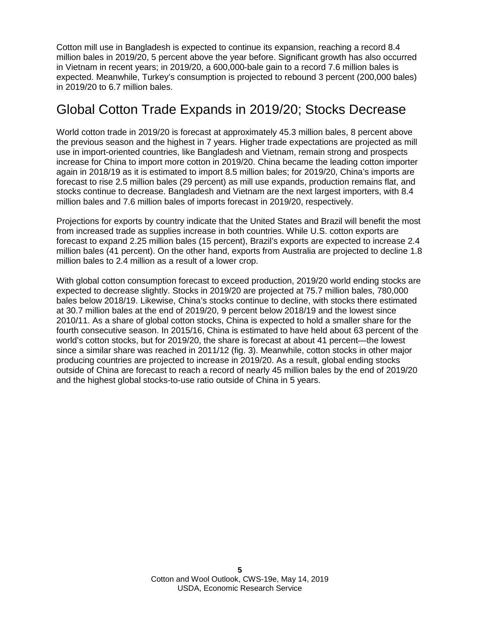Cotton mill use in Bangladesh is expected to continue its expansion, reaching a record 8.4 million bales in 2019/20, 5 percent above the year before. Significant growth has also occurred in Vietnam in recent years; in 2019/20, a 600,000-bale gain to a record 7.6 million bales is expected. Meanwhile, Turkey's consumption is projected to rebound 3 percent (200,000 bales) in 2019/20 to 6.7 million bales.

#### Global Cotton Trade Expands in 2019/20; Stocks Decrease

World cotton trade in 2019/20 is forecast at approximately 45.3 million bales, 8 percent above the previous season and the highest in 7 years. Higher trade expectations are projected as mill use in import-oriented countries, like Bangladesh and Vietnam, remain strong and prospects increase for China to import more cotton in 2019/20. China became the leading cotton importer again in 2018/19 as it is estimated to import 8.5 million bales; for 2019/20, China's imports are forecast to rise 2.5 million bales (29 percent) as mill use expands, production remains flat, and stocks continue to decrease. Bangladesh and Vietnam are the next largest importers, with 8.4 million bales and 7.6 million bales of imports forecast in 2019/20, respectively.

Projections for exports by country indicate that the United States and Brazil will benefit the most from increased trade as supplies increase in both countries. While U.S. cotton exports are forecast to expand 2.25 million bales (15 percent), Brazil's exports are expected to increase 2.4 million bales (41 percent). On the other hand, exports from Australia are projected to decline 1.8 million bales to 2.4 million as a result of a lower crop.

With global cotton consumption forecast to exceed production, 2019/20 world ending stocks are expected to decrease slightly. Stocks in 2019/20 are projected at 75.7 million bales, 780,000 bales below 2018/19. Likewise, China's stocks continue to decline, with stocks there estimated at 30.7 million bales at the end of 2019/20, 9 percent below 2018/19 and the lowest since 2010/11. As a share of global cotton stocks, China is expected to hold a smaller share for the fourth consecutive season. In 2015/16, China is estimated to have held about 63 percent of the world's cotton stocks, but for 2019/20, the share is forecast at about 41 percent—the lowest since a similar share was reached in 2011/12 (fig. 3). Meanwhile, cotton stocks in other major producing countries are projected to increase in 2019/20. As a result, global ending stocks outside of China are forecast to reach a record of nearly 45 million bales by the end of 2019/20 and the highest global stocks-to-use ratio outside of China in 5 years.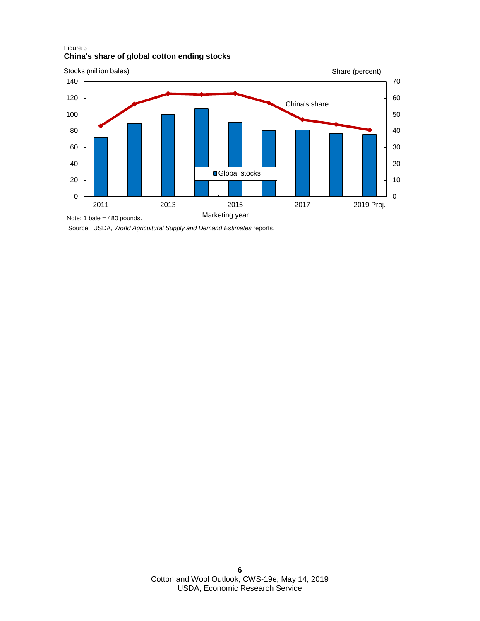#### Figure 3 **China's share of global cotton ending stocks**



Source: USDA, *World Agricultural Supply and Demand Estimates* reports.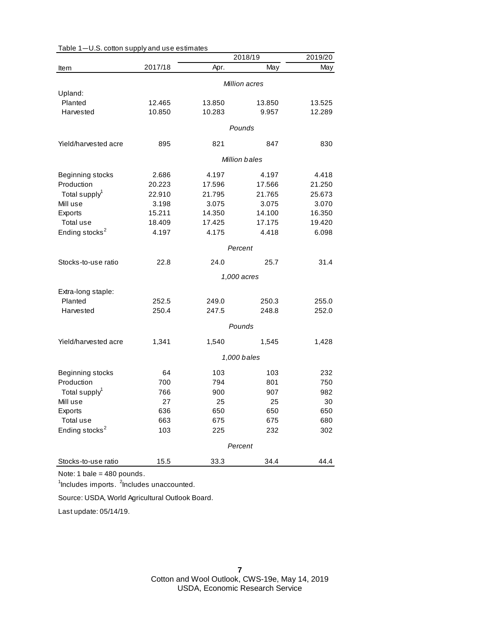|                               |         | 2018/19              | 2019/20              |                |
|-------------------------------|---------|----------------------|----------------------|----------------|
| Item                          | 2017/18 | Apr.                 | May                  | May            |
|                               |         | <b>Million acres</b> |                      |                |
| Upland:                       |         |                      |                      |                |
| Planted                       | 12.465  | 13.850               | 13.850               | 13.525         |
| Harvested                     | 10.850  | 10.283               | 9.957                | 12.289         |
|                               |         |                      | Pounds               |                |
| Yield/harvested acre          | 895     | 821                  | 847                  | 830            |
|                               |         |                      | <b>Million bales</b> |                |
| Beginning stocks              | 2.686   | 4.197                | 4.197                | 4.418          |
| Production                    | 20.223  | 17.596               | 17.566               | 21.250         |
| Total supply <sup>1</sup>     | 22.910  | 21.795               | 21.765               | 25.673         |
| Mill use                      | 3.198   | 3.075                | 3.075                | 3.070          |
| Exports                       | 15.211  | 14.350               | 14.100               | 16.350         |
| Total use                     | 18.409  | 17.425               | 17.175               | 19.420         |
| Ending stocks <sup>2</sup>    | 4.197   | 4.175                | 4.418                | 6.098          |
|                               |         |                      | Percent              |                |
| Stocks-to-use ratio           | 22.8    | 24.0                 | 25.7                 | 31.4           |
|                               |         |                      | 1,000 acres          |                |
|                               |         |                      |                      |                |
| Extra-long staple:<br>Planted | 252.5   | 249.0                | 250.3                |                |
| Harvested                     | 250.4   | 247.5                | 248.8                | 255.0<br>252.0 |
|                               |         |                      |                      |                |
|                               |         |                      | Pounds               |                |
| Yield/harvested acre          | 1,341   | 1,540                | 1,545                | 1,428          |
|                               |         |                      | 1,000 bales          |                |
| Beginning stocks              | 64      | 103                  | 103                  | 232            |
| Production                    | 700     | 794                  | 801                  | 750            |
| Total supply <sup>1</sup>     | 766     | 900                  | 907                  | 982            |
| Mill use                      | 27      | 25                   | 25                   | 30             |
| Exports                       | 636     | 650                  | 650                  | 650            |
| Total use                     | 663     | 675                  | 675                  | 680            |
| Ending stocks <sup>2</sup>    | 103     | 225                  | 232                  | 302            |
|                               |         |                      | Percent              |                |
|                               |         |                      |                      |                |
| Stocks-to-use ratio           | 15.5    | 33.3                 | 34.4                 | 44.4           |

Table 1—U.S. cotton supply and use estimates

Note: 1 bale = 480 pounds.

<sup>1</sup>Includes imports. <sup>2</sup>Includes unaccounted.

Source: USDA, World Agricultural Outlook Board.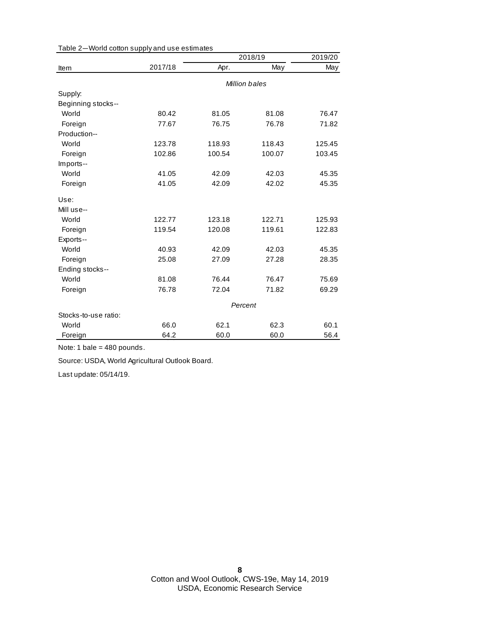|                      |               | 2018/19 |        | 2019/20 |  |
|----------------------|---------------|---------|--------|---------|--|
| Item                 | 2017/18       | Apr.    | May    | May     |  |
|                      | Million bales |         |        |         |  |
| Supply:              |               |         |        |         |  |
| Beginning stocks--   |               |         |        |         |  |
| World                | 80.42         | 81.05   | 81.08  | 76.47   |  |
| Foreign              | 77.67         | 76.75   | 76.78  | 71.82   |  |
| Production--         |               |         |        |         |  |
| World                | 123.78        | 118.93  | 118.43 | 125.45  |  |
| Foreign              | 102.86        | 100.54  | 100.07 | 103.45  |  |
| Imports--            |               |         |        |         |  |
| World                | 41.05         | 42.09   | 42.03  | 45.35   |  |
| Foreign              | 41.05         | 42.09   | 42.02  | 45.35   |  |
| Use:                 |               |         |        |         |  |
| Mill use--           |               |         |        |         |  |
| World                | 122.77        | 123.18  | 122.71 | 125.93  |  |
| Foreign              | 119.54        | 120.08  | 119.61 | 122.83  |  |
| Exports--            |               |         |        |         |  |
| World                | 40.93         | 42.09   | 42.03  | 45.35   |  |
| Foreign              | 25.08         | 27.09   | 27.28  | 28.35   |  |
| Ending stocks--      |               |         |        |         |  |
| World                | 81.08         | 76.44   | 76.47  | 75.69   |  |
| Foreign              | 76.78         | 72.04   | 71.82  | 69.29   |  |
|                      | Percent       |         |        |         |  |
| Stocks-to-use ratio: |               |         |        |         |  |
| World                | 66.0          | 62.1    | 62.3   | 60.1    |  |
| Foreign              | 64.2          | 60.0    | 60.0   | 56.4    |  |

Table 2—World cotton supply and use estimates

Note: 1 bale = 480 pounds.

Source: USDA, World Agricultural Outlook Board.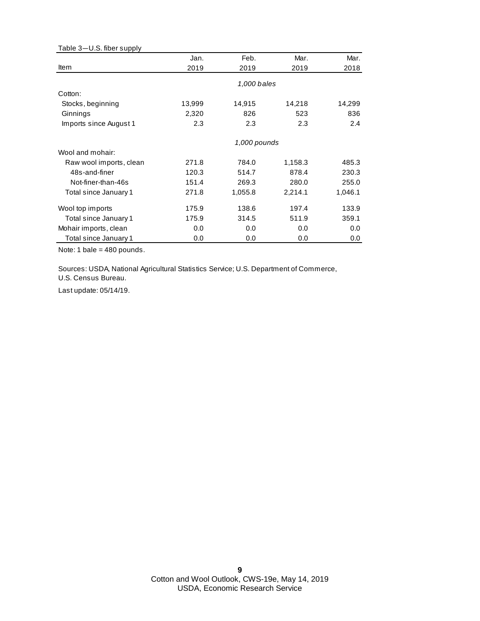| Table 3-U.S. fiber supply |        |              |         |         |
|---------------------------|--------|--------------|---------|---------|
|                           | Jan.   | Feb.         | Mar.    | Mar.    |
| Item                      | 2019   | 2019         | 2019    | 2018    |
|                           |        | 1,000 bales  |         |         |
| Cotton:                   |        |              |         |         |
| Stocks, beginning         | 13,999 | 14,915       | 14,218  | 14,299  |
| Ginnings                  | 2,320  | 826          | 523     | 836     |
| Imports since August 1    | 2.3    | 2.3          | 2.3     | 2.4     |
|                           |        | 1,000 pounds |         |         |
| Wool and mohair:          |        |              |         |         |
| Raw wool imports, clean   | 271.8  | 784.0        | 1,158.3 | 485.3   |
| 48s-and-finer             | 120.3  | 514.7        | 878.4   | 230.3   |
| Not-finer-than-46s        | 151.4  | 269.3        | 280.0   | 255.0   |
| Total since January 1     | 271.8  | 1,055.8      | 2,214.1 | 1,046.1 |
| Wool top imports          | 175.9  | 138.6        | 197.4   | 133.9   |
| Total since January 1     | 175.9  | 314.5        | 511.9   | 359.1   |
| Mohair imports, clean     | 0.0    | 0.0          | 0.0     | 0.0     |
| Total since January 1     | 0.0    | 0.0          | 0.0     | 0.0     |

Note: 1 bale = 480 pounds.

Sources: USDA, National Agricultural Statistics Service; U.S. Department of Commerce,

U.S. Census Bureau.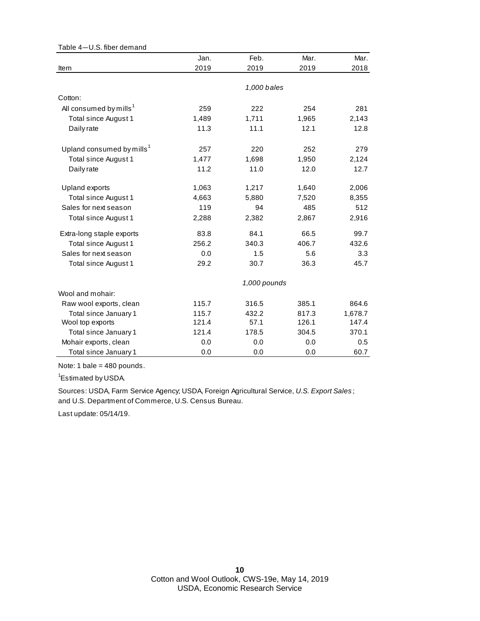| Table 4-U.S. fiber demand             |       |              |       |         |
|---------------------------------------|-------|--------------|-------|---------|
|                                       | Jan.  | Feb.         | Mar.  | Mar.    |
| Item                                  | 2019  | 2019         | 2019  | 2018    |
|                                       |       |              |       |         |
|                                       |       | 1,000 bales  |       |         |
| Cotton:                               |       |              |       |         |
| All consumed by mills <sup>1</sup>    | 259   | 222          | 254   | 281     |
| Total since August 1                  | 1,489 | 1,711        | 1,965 | 2,143   |
| Daily rate                            | 11.3  | 11.1         | 12.1  | 12.8    |
| Upland consumed by mills <sup>1</sup> | 257   | 220          | 252   | 279     |
| Total since August 1                  | 1,477 | 1,698        | 1,950 | 2,124   |
| Daily rate                            | 11.2  | 11.0         | 12.0  | 12.7    |
| Upland exports                        | 1,063 | 1,217        | 1,640 | 2,006   |
| Total since August 1                  | 4,663 | 5,880        | 7,520 | 8,355   |
| Sales for next season                 | 119   | 94           | 485   | 512     |
| Total since August 1                  | 2,288 | 2,382        | 2,867 | 2,916   |
| Extra-long staple exports             | 83.8  | 84.1         | 66.5  | 99.7    |
| Total since August 1                  | 256.2 | 340.3        | 406.7 | 432.6   |
| Sales for next season                 | 0.0   | 1.5          | 5.6   | 3.3     |
| Total since August 1                  | 29.2  | 30.7         | 36.3  | 45.7    |
|                                       |       | 1,000 pounds |       |         |
| Wool and mohair:                      |       |              |       |         |
| Raw wool exports, clean               | 115.7 | 316.5        | 385.1 | 864.6   |
| Total since January 1                 | 115.7 | 432.2        | 817.3 | 1,678.7 |
| Wool top exports                      | 121.4 | 57.1         | 126.1 | 147.4   |
| Total since January 1                 | 121.4 | 178.5        | 304.5 | 370.1   |
| Mohair exports, clean                 | 0.0   | 0.0          | 0.0   | 0.5     |
| Total since January 1                 | 0.0   | 0.0          | 0.0   | 60.7    |

Note: 1 bale = 480 pounds.

<sup>1</sup>Estimated by USDA.

and U.S. Department of Commerce, U.S. Census Bureau. Sources: USDA, Farm Service Agency; USDA, Foreign Agricultural Service, *U.S. Export Sales* ;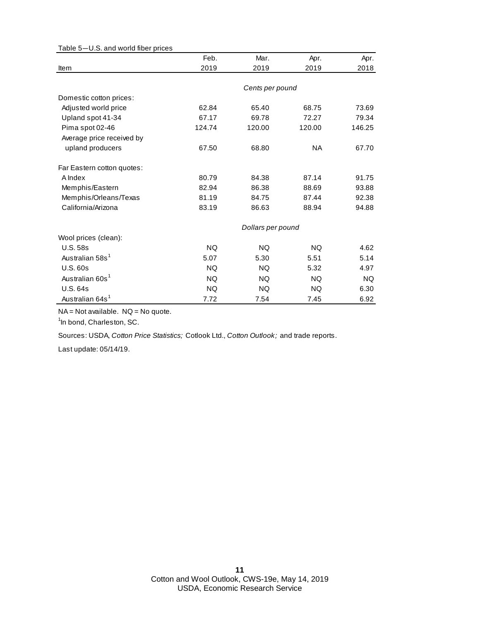| rable 5–0.3. and wond muer prices |           |                   |           |           |
|-----------------------------------|-----------|-------------------|-----------|-----------|
|                                   | Feb.      | Mar.              | Apr.      | Apr.      |
| Item                              | 2019      | 2019              | 2019      | 2018      |
|                                   |           |                   |           |           |
|                                   |           | Cents per pound   |           |           |
| Domestic cotton prices:           |           |                   |           |           |
| Adjusted world price              | 62.84     | 65.40             | 68.75     | 73.69     |
| Upland spot 41-34                 | 67.17     | 69.78             | 72.27     | 79.34     |
| Pima spot 02-46                   | 124.74    | 120.00            | 120.00    | 146.25    |
| Average price received by         |           |                   |           |           |
| upland producers                  | 67.50     | 68.80             | NA.       | 67.70     |
| Far Eastern cotton quotes:        |           |                   |           |           |
| A Index                           | 80.79     | 84.38             | 87.14     | 91.75     |
| Memphis/Eastern                   | 82.94     | 86.38             | 88.69     | 93.88     |
| Memphis/Orleans/Texas             | 81.19     | 84.75             | 87.44     | 92.38     |
| California/Arizona                | 83.19     | 86.63             | 88.94     | 94.88     |
|                                   |           | Dollars per pound |           |           |
| Wool prices (clean):              |           |                   |           |           |
| <b>U.S. 58s</b>                   | NQ.       | <b>NQ</b>         | NQ.       | 4.62      |
| Australian 58s <sup>1</sup>       | 5.07      | 5.30              | 5.51      | 5.14      |
| U.S.60s                           | <b>NQ</b> | <b>NQ</b>         | 5.32      | 4.97      |
| Australian 60s <sup>1</sup>       | <b>NQ</b> | <b>NQ</b>         | <b>NQ</b> | <b>NQ</b> |
| <b>U.S. 64s</b>                   | <b>NQ</b> | <b>NQ</b>         | <b>NQ</b> | 6.30      |
| Australian 64s <sup>1</sup>       | 7.72      | 7.54              | 7.45      | 6.92      |

Table 5—U.S. and world fiber prices

NA = Not available. NQ = No quote.

<sup>1</sup>In bond, Charleston, SC.

Sources: USDA, *Cotton Price Statistics;* Cotlook Ltd., *Cotton Outlook;* and trade reports.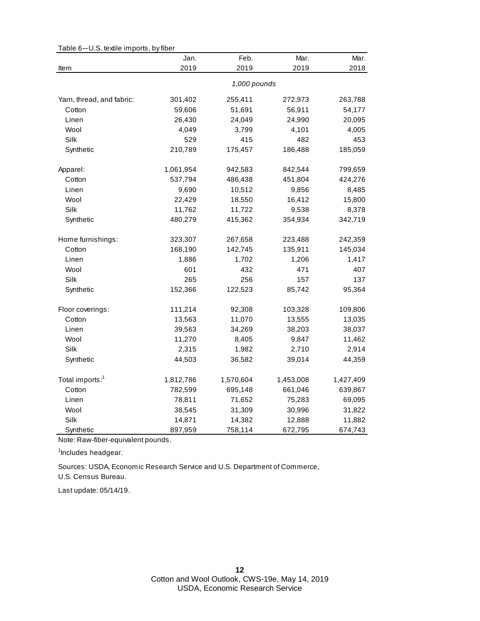| <b>D.D. ICALIC IMPORTS, Dy HDCR</b> | Jan.      | Feb.         | Mar.      | Mar.      |
|-------------------------------------|-----------|--------------|-----------|-----------|
| Item                                | 2019      | 2019         | 2019      | 2018      |
|                                     |           | 1,000 pounds |           |           |
| Yarn, thread, and fabric:           | 301,402   | 255,411      | 272,973   | 263,788   |
| Cotton                              | 59,606    | 51,691       | 56,911    | 54,177    |
| Linen                               | 26,430    | 24,049       | 24,990    | 20,095    |
| Wool                                | 4,049     | 3,799        | 4,101     | 4,005     |
| Silk                                | 529       | 415          | 482       | 453       |
| Synthetic                           | 210,789   | 175,457      | 186,488   | 185,059   |
| Apparel:                            | 1,061,954 | 942,583      | 842,544   | 799,659   |
| Cotton                              | 537,794   | 486,438      | 451,804   | 424,276   |
| Linen                               | 9,690     | 10,512       | 9,856     | 8,485     |
| Wool                                | 22,429    | 18,550       | 16,412    | 15,800    |
| Silk                                | 11,762    | 11,722       | 9,538     | 8,378     |
| Synthetic                           | 480,279   | 415,362      | 354,934   | 342,719   |
| Home furnishings:                   | 323,307   | 267,658      | 223,488   | 242,359   |
| Cotton                              | 168,190   | 142,745      | 135,911   | 145,034   |
| Linen                               | 1,886     | 1,702        | 1,206     | 1,417     |
| Wool                                | 601       | 432          | 471       | 407       |
| Silk                                | 265       | 256          | 157       | 137       |
| Synthetic                           | 152,366   | 122,523      | 85,742    | 95,364    |
| Floor coverings:                    | 111,214   | 92,308       | 103,328   | 109,806   |
| Cotton                              | 13,563    | 11,070       | 13,555    | 13,035    |
| Linen                               | 39,563    | 34,269       | 38,203    | 38,037    |
| Wool                                | 11,270    | 8,405        | 9,847     | 11,462    |
| Silk                                | 2,315     | 1,982        | 2,710     | 2,914     |
| Synthetic                           | 44,503    | 36,582       | 39,014    | 44,359    |
| Total imports: <sup>1</sup>         | 1,812,786 | 1,570,604    | 1,453,008 | 1,427,409 |
| Cotton                              | 782,599   | 695,148      | 661,046   | 639,867   |
| Linen                               | 78,811    | 71,652       | 75,283    | 69,095    |
| Wool                                | 38,545    | 31,309       | 30,996    | 31,822    |
| Silk                                | 14,871    | 14,382       | 12,888    | 11,882    |
| Synthetic                           | 897,959   | 758,114      | 672,795   | 674,743   |

Table 6—U.S. textile imports, by fiber

Note: Raw-fiber-equivalent pounds.

<sup>1</sup>Includes headgear.

Sources: USDA, Economic Research Service and U.S. Department of Commerce,

U.S. Census Bureau.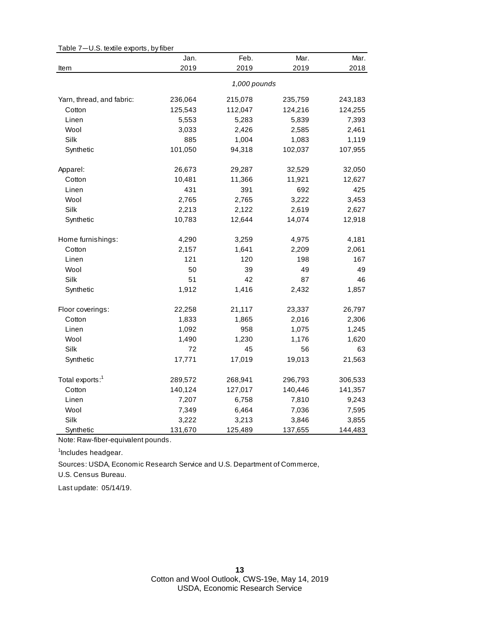|                             | Jan.    | Feb.         | Mar.    | Mar.    |
|-----------------------------|---------|--------------|---------|---------|
| Item                        | 2019    | 2019         | 2019    | 2018    |
|                             |         | 1,000 pounds |         |         |
| Yarn, thread, and fabric:   | 236,064 | 215,078      | 235,759 | 243,183 |
| Cotton                      | 125,543 | 112,047      | 124,216 | 124,255 |
| Linen                       | 5,553   | 5,283        | 5,839   | 7,393   |
| Wool                        | 3,033   | 2,426        | 2,585   | 2,461   |
| Silk                        | 885     | 1,004        | 1,083   | 1,119   |
| Synthetic                   | 101,050 | 94,318       | 102,037 | 107,955 |
| Apparel:                    | 26,673  | 29,287       | 32,529  | 32,050  |
| Cotton                      | 10,481  | 11,366       | 11,921  | 12,627  |
| Linen                       | 431     | 391          | 692     | 425     |
| Wool                        | 2,765   | 2,765        | 3,222   | 3,453   |
| Silk                        | 2,213   | 2,122        | 2,619   | 2,627   |
| Synthetic                   | 10,783  | 12,644       | 14,074  | 12,918  |
| Home furnishings:           | 4,290   | 3,259        | 4,975   | 4,181   |
| Cotton                      | 2,157   | 1,641        | 2,209   | 2,061   |
| Linen                       | 121     | 120          | 198     | 167     |
| Wool                        | 50      | 39           | 49      | 49      |
| Silk                        | 51      | 42           | 87      | 46      |
| Synthetic                   | 1,912   | 1,416        | 2,432   | 1,857   |
| Floor coverings:            | 22,258  | 21,117       | 23,337  | 26,797  |
| Cotton                      | 1,833   | 1,865        | 2,016   | 2,306   |
| Linen                       | 1,092   | 958          | 1,075   | 1,245   |
| Wool                        | 1,490   | 1,230        | 1,176   | 1,620   |
| Silk                        | 72      | 45           | 56      | 63      |
| Synthetic                   | 17,771  | 17,019       | 19,013  | 21,563  |
| Total exports: <sup>1</sup> | 289,572 | 268,941      | 296,793 | 306,533 |
| Cotton                      | 140,124 | 127,017      | 140,446 | 141,357 |
| Linen                       | 7,207   | 6,758        | 7,810   | 9,243   |
| Wool                        | 7,349   | 6,464        | 7,036   | 7,595   |
| Silk                        | 3,222   | 3,213        | 3,846   | 3,855   |
| Synthetic                   | 131,670 | 125,489      | 137,655 | 144,483 |

Table 7—U.S. textile exports, by fiber

Note: Raw-fiber-equivalent pounds.

<sup>1</sup>Includes headgear.

U.S. Census Bureau. Sources: USDA, Economic Research Service and U.S. Department of Commerce,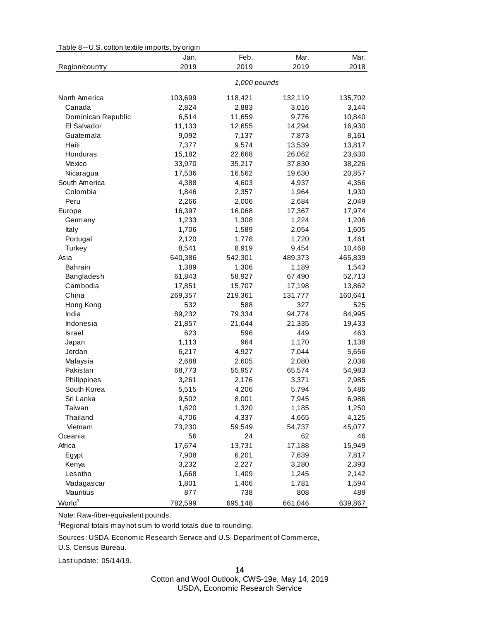| Table 8-U.S. cotton textile imports, by origin |  |  |
|------------------------------------------------|--|--|
|------------------------------------------------|--|--|

|                    | Jan.         | Feb.    | Mar.    | Mar.    |  |
|--------------------|--------------|---------|---------|---------|--|
| Region/country     | 2019         | 2019    | 2019    | 2018    |  |
|                    | 1,000 pounds |         |         |         |  |
| North America      | 103,699      | 118,421 | 132,119 | 135,702 |  |
| Canada             | 2,824        | 2,883   | 3,016   | 3,144   |  |
| Dominican Republic | 6,514        | 11,659  | 9,776   | 10,840  |  |
| El Salvador        | 11,133       | 12,655  | 14,294  | 16,930  |  |
| Guatemala          | 9,092        | 7,137   | 7,873   | 8,161   |  |
| Haiti              | 7,377        | 9,574   | 13,539  | 13,817  |  |
| Honduras           | 15,182       | 22,668  | 26,062  | 23,630  |  |
| Mexico             | 33,970       | 35,217  | 37,830  | 38,226  |  |
| Nicaragua          | 17,536       | 16,562  | 19,630  | 20,857  |  |
| South America      | 4,388        | 4,603   | 4,937   | 4,356   |  |
| Colombia           | 1,846        | 2,357   | 1,964   | 1,930   |  |
| Peru               | 2,266        | 2,006   | 2,684   | 2,049   |  |
| Europe             | 16,397       | 16,068  | 17,367  | 17,974  |  |
| Germany            | 1,233        | 1,308   | 1,224   | 1,206   |  |
| Italy              | 1,706        | 1,589   | 2,054   | 1,605   |  |
| Portugal           | 2,120        | 1,778   | 1,720   | 1,461   |  |
| <b>Turkey</b>      | 8,541        | 8,919   | 9,454   | 10,468  |  |
| Asia               | 640,386      | 542,301 | 489,373 | 465,839 |  |
| <b>Bahrain</b>     | 1,389        | 1,306   | 1,189   | 1,543   |  |
| Bangladesh         | 61,843       | 58,927  | 67,490  | 52,713  |  |
| Cambodia           | 17,851       | 15,707  | 17,198  | 13,862  |  |
| China              | 269,357      | 219,361 | 131,777 | 160,641 |  |
| Hong Kong          | 532          | 588     | 327     | 525     |  |
| India              | 89,232       | 79,334  | 94,774  | 84,995  |  |
| Indonesia          | 21,857       | 21,644  | 21,335  | 19,433  |  |
| <b>Israel</b>      | 623          | 596     | 449     | 463     |  |
| Japan              | 1,113        | 964     | 1,170   | 1,138   |  |
| Jordan             | 6,217        | 4,927   | 7,044   | 5,656   |  |
| Malaysia           | 2,688        | 2,605   | 2,080   | 2,036   |  |
| Pakistan           | 68,773       | 55,957  | 65,574  | 54,983  |  |
| Philippines        | 3,261        | 2,176   | 3,371   | 2,985   |  |
| South Korea        | 5,515        | 4,206   | 5,794   | 5,486   |  |
| Sri Lanka          | 9,502        | 8,001   | 7,945   | 6,986   |  |
| Taiwan             | 1,620        | 1,320   | 1,185   | 1,250   |  |
| Thailand           | 4,706        | 4,337   | 4,665   | 4,125   |  |
| Vietnam            | 73,230       | 59,549  | 54,737  | 45,077  |  |
| Oceania            | 56           | 24      | 62      | 46      |  |
| Africa             | 17,674       | 13,731  | 17,188  | 15,949  |  |
| Egypt              | 7,908        | 6,201   | 7,639   | 7,817   |  |
| Kenya              | 3,232        | 2,227   | 3,280   | 2,393   |  |
| Lesotho            | 1,668        | 1,409   | 1,245   | 2,142   |  |
| Madagascar         | 1,801        | 1,406   | 1,781   | 1,594   |  |
| Mauritius          | 877          | 738     | 808     | 489     |  |
| World <sup>1</sup> | 782,599      | 695,148 | 661,046 | 639,867 |  |

Note: Raw-fiber-equivalent pounds.

<sup>1</sup>Regional totals may not sum to world totals due to rounding.

Sources: USDA, Economic Research Service and U.S. Department of Commerce,

U.S. Census Bureau.

Last update: 05/14/19.

**14**

Cotton and Wool Outlook, CWS-19e, May 14, 2019 USDA, Economic Research Service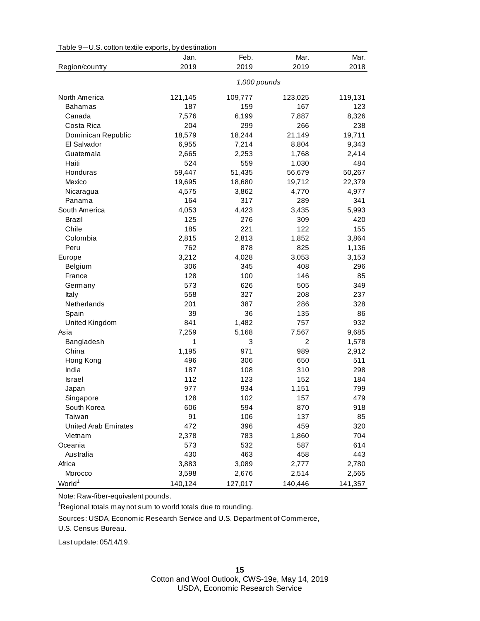| Table 9-U.S. cotton textile exports, by destination |  |
|-----------------------------------------------------|--|
|-----------------------------------------------------|--|

|                             | Jan.    | Feb.         | Mar.    | Mar.    |
|-----------------------------|---------|--------------|---------|---------|
| Region/country              | 2019    | 2019         | 2019    | 2018    |
|                             |         | 1,000 pounds |         |         |
| North America               | 121,145 | 109,777      | 123,025 | 119,131 |
| <b>Bahamas</b>              | 187     | 159          | 167     | 123     |
| Canada                      | 7,576   | 6,199        | 7,887   | 8,326   |
| Costa Rica                  | 204     | 299          | 266     | 238     |
| Dominican Republic          | 18,579  | 18,244       | 21,149  | 19,711  |
| El Salvador                 | 6,955   | 7,214        | 8,804   | 9,343   |
| Guatemala                   | 2,665   | 2,253        | 1,768   | 2,414   |
| Haiti                       | 524     | 559          | 1,030   | 484     |
| Honduras                    | 59,447  | 51,435       | 56,679  | 50,267  |
| Mexico                      | 19,695  | 18,680       | 19,712  | 22,379  |
| Nicaragua                   | 4,575   | 3,862        | 4,770   | 4,977   |
| Panama                      | 164     | 317          | 289     | 341     |
| South America               | 4,053   | 4,423        | 3,435   | 5,993   |
| Brazil                      | 125     | 276          | 309     | 420     |
| Chile                       | 185     | 221          | 122     | 155     |
| Colombia                    | 2,815   | 2,813        | 1,852   | 3,864   |
| Peru                        | 762     | 878          | 825     | 1,136   |
| Europe                      | 3,212   | 4,028        | 3,053   | 3,153   |
| Belgium                     | 306     | 345          | 408     | 296     |
| France                      | 128     | 100          | 146     | 85      |
| Germany                     | 573     | 626          | 505     | 349     |
| Italy                       | 558     | 327          | 208     | 237     |
| Netherlands                 | 201     | 387          | 286     | 328     |
| Spain                       | 39      | 36           | 135     | 86      |
| United Kingdom              | 841     | 1,482        | 757     | 932     |
| Asia                        | 7,259   | 5,168        | 7,567   | 9,685   |
| Bangladesh                  | 1       | 3            | 2       | 1,578   |
| China                       | 1,195   | 971          | 989     | 2,912   |
| Hong Kong                   | 496     | 306          | 650     | 511     |
| India                       | 187     | 108          | 310     | 298     |
| <b>Israel</b>               | 112     | 123          | 152     | 184     |
| Japan                       | 977     | 934          | 1,151   | 799     |
| Singapore                   | 128     | 102          | 157     | 479     |
| South Korea                 | 606     | 594          | 870     | 918     |
| Taiwan                      | 91      | 106          | 137     | 85      |
| <b>United Arab Emirates</b> | 472     | 396          | 459     | 320     |
| Vietnam                     | 2,378   | 783          | 1,860   | 704     |
| Oceania                     | 573     | 532          | 587     | 614     |
| Australia                   | 430     | 463          | 458     | 443     |
| Africa                      | 3,883   | 3,089        | 2,777   | 2,780   |
| Morocco                     | 3,598   | 2,676        | 2,514   | 2,565   |
| World <sup>1</sup>          | 140,124 | 127,017      | 140,446 | 141,357 |

Note: Raw-fiber-equivalent pounds.

<sup>1</sup>Regional totals may not sum to world totals due to rounding.

Sources: USDA, Economic Research Service and U.S. Department of Commerce,

U.S. Census Bureau.

Last update: 05/14/19.

Cotton and Wool Outlook, CWS-19e, May 14, 2019 USDA, Economic Research Service